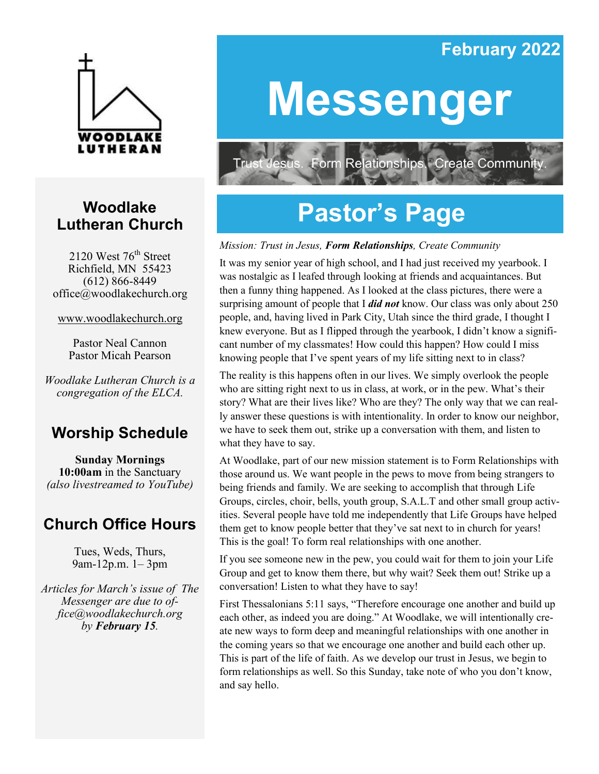# LUTHERAN

## **Woodlake Lutheran Church**

2120 West  $76<sup>th</sup>$  Street Richfield, MN 55423 (612) 866-8449 office@woodlakechurch.org

www.woodlakechurch.org

Pastor Neal Cannon Pastor Micah Pearson

*Woodlake Lutheran Church is a congregation of the ELCA.*

## **Worship Schedule**

**Sunday Mornings 10:00am** in the Sanctuary *(also livestreamed to YouTube)*

## **Church Office Hours**

Tues, Weds, Thurs, 9am-12p.m. 1– 3pm

*Articles for March's issue of The Messenger are due to office@woodlakechurch.org by February 15.* 

## **Messenger**

**February 2022**

Form Relationships. Create Community Trust Jesus.

## **Pastor's Page**

#### *Mission: Trust in Jesus, Form Relationships, Create Community*

It was my senior year of high school, and I had just received my yearbook. I was nostalgic as I leafed through looking at friends and acquaintances. But then a funny thing happened. As I looked at the class pictures, there were a surprising amount of people that I *did not* know. Our class was only about 250 people, and, having lived in Park City, Utah since the third grade, I thought I knew everyone. But as I flipped through the yearbook, I didn't know a significant number of my classmates! How could this happen? How could I miss knowing people that I've spent years of my life sitting next to in class?

The reality is this happens often in our lives. We simply overlook the people who are sitting right next to us in class, at work, or in the pew. What's their story? What are their lives like? Who are they? The only way that we can really answer these questions is with intentionality. In order to know our neighbor, we have to seek them out, strike up a conversation with them, and listen to what they have to say.

At Woodlake, part of our new mission statement is to Form Relationships with those around us. We want people in the pews to move from being strangers to being friends and family. We are seeking to accomplish that through Life Groups, circles, choir, bells, youth group, S.A.L.T and other small group activities. Several people have told me independently that Life Groups have helped them get to know people better that they've sat next to in church for years! This is the goal! To form real relationships with one another.

If you see someone new in the pew, you could wait for them to join your Life Group and get to know them there, but why wait? Seek them out! Strike up a conversation! Listen to what they have to say!

First Thessalonians 5:11 says, "Therefore encourage one another and build up each other, as indeed you are doing." At Woodlake, we will intentionally create new ways to form deep and meaningful relationships with one another in the coming years so that we encourage one another and build each other up. This is part of the life of faith. As we develop our trust in Jesus, we begin to form relationships as well. So this Sunday, take note of who you don't know, and say hello.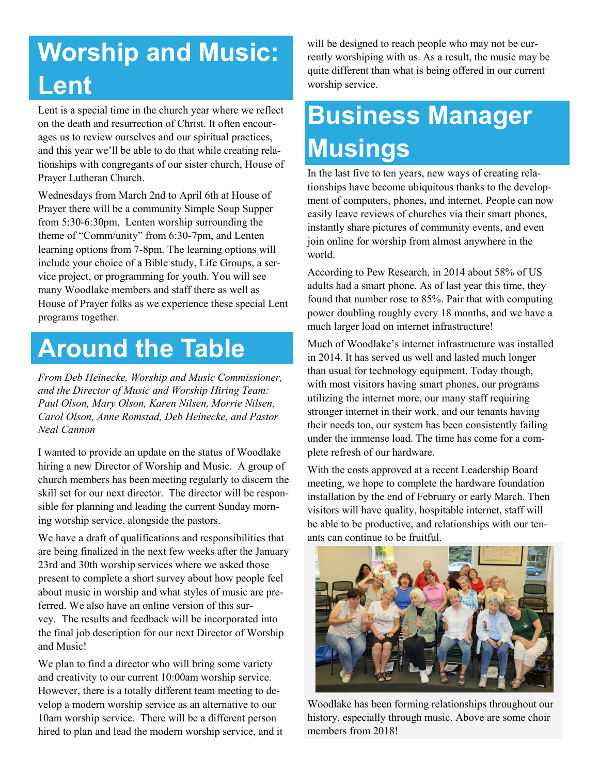## **Worship and Music: Lent**

Lent is a special time in the church year where we reflect on the death and resurrection of Christ. It often encourages us to review ourselves and our spiritual practices, and this year we'll be able to do that while creating relationships with congregants of our sister church, House of Prayer Lutheran Church.

Wednesdays from March 2nd to April 6th at House of Prayer there will be a community Simple Soup Supper from 5:30-6:30pm, Lenten worship surrounding the theme of "Comm/unity" from 6:30-7pm, and Lenten learning options from 7-8pm. The learning options will include your choice of a Bible study, Life Groups, a service project, or programming for youth. You will see many Woodlake members and staff there as well as House of Prayer folks as we experience these special Lent programs together.

## **Around the Table**

*From Deb Heinecke, Worship and Music Commissioner, and the Director of Music and Worship Hiring Team: Paul Olson, Mary Olson, Karen Nilsen, Morrie Nilsen, Carol Olson, Anne Romstad, Deb Heinecke, and Pastor Neal Cannon* 

I wanted to provide an update on the status of Woodlake hiring a new Director of Worship and Music. A group of church members has been meeting regularly to discern the skill set for our next director. The director will be responsible for planning and leading the current Sunday morning worship service, alongside the pastors.

We have a draft of qualifications and responsibilities that are being finalized in the next few weeks after the January 23rd and 30th worship services where we asked those present to complete a short survey about how people feel about music in worship and what styles of music are preferred. We also have an online version of this survey. The results and feedback will be incorporated into the final job description for our next Director of Worship and Music!

We plan to find a director who will bring some variety and creativity to our current 10:00am worship service. However, there is a totally different team meeting to develop a modern worship service as an alternative to our 10am worship service. There will be a different person hired to plan and lead the modern worship service, and it will be designed to reach people who may not be currently worshiping with us. As a result, the music may be quite different than what is being offered in our current worship service.

## **Business Manager Musings**

In the last five to ten years, new ways of creating relationships have become ubiquitous thanks to the development of computers, phones, and internet. People can now easily leave reviews of churches via their smart phones, instantly share pictures of community events, and even join online for worship from almost anywhere in the world.

According to Pew Research, in 2014 about 58% of US adults had a smart phone. As of last year this time, they found that number rose to 85%. Pair that with computing power doubling roughly every 18 months, and we have a much larger load on internet infrastructure!

Much of Woodlake's internet infrastructure was installed in 2014. It has served us well and lasted much longer than usual for technology equipment. Today though, with most visitors having smart phones, our programs utilizing the internet more, our many staff requiring stronger internet in their work, and our tenants having their needs too, our system has been consistently failing under the immense load. The time has come for a complete refresh of our hardware.

With the costs approved at a recent Leadership Board meeting, we hope to complete the hardware foundation installation by the end of February or early March. Then visitors will have quality, hospitable internet, staff will be able to be productive, and relationships with our tenants can continue to be fruitful.



Woodlake has been forming relationships throughout our history, especially through music. Above are some choir members from 2018!